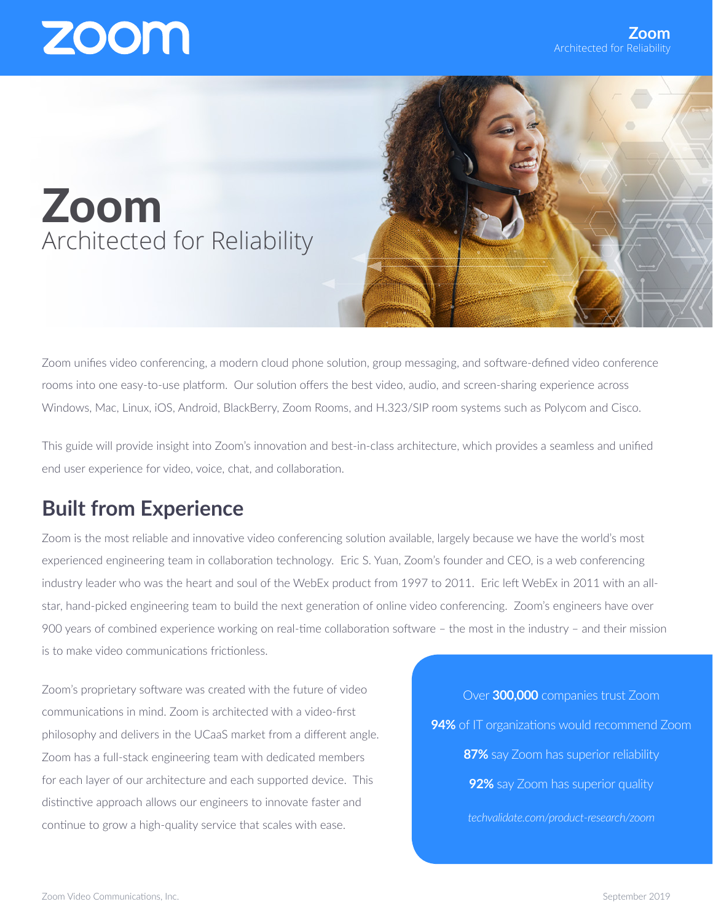### Zoom Architected for Reliability

Zoom unifies video conferencing, a modern cloud phone solution, group messaging, and software-defined video conference rooms into one easy-to-use platform. Our solution offers the best video, audio, and screen-sharing experience across Windows, Mac, Linux, iOS, Android, BlackBerry, Zoom Rooms, and H.323/SIP room systems such as Polycom and Cisco.

This guide will provide insight into Zoom's innovation and best-in-class architecture, which provides a seamless and unified end user experience for video, voice, chat, and collaboration.

#### **Built from Experience**

Zoom is the most reliable and innovative video conferencing solution available, largely because we have the world's most experienced engineering team in collaboration technology. Eric S. Yuan, Zoom's founder and CEO, is a web conferencing industry leader who was the heart and soul of the WebEx product from 1997 to 2011. Eric left WebEx in 2011 with an allstar, hand-picked engineering team to build the next generation of online video conferencing. Zoom's engineers have over 900 years of combined experience working on real-time collaboration software – the most in the industry – and their mission is to make video communications frictionless.

Zoom's proprietary software was created with the future of video communications in mind. Zoom is architected with a video-first philosophy and delivers in the UCaaS market from a different angle. Zoom has a full-stack engineering team with dedicated members for each layer of our architecture and each supported device. This distinctive approach allows our engineers to innovate faster and continue to grow a high-quality service that scales with ease.

Over **300,000** companies trust Zoom **94%** of IT organizations would recommend Zoom **87%** say Zoom has superior reliability **92%** say Zoom has superior quality *techvalidate.com/product-research/zoom*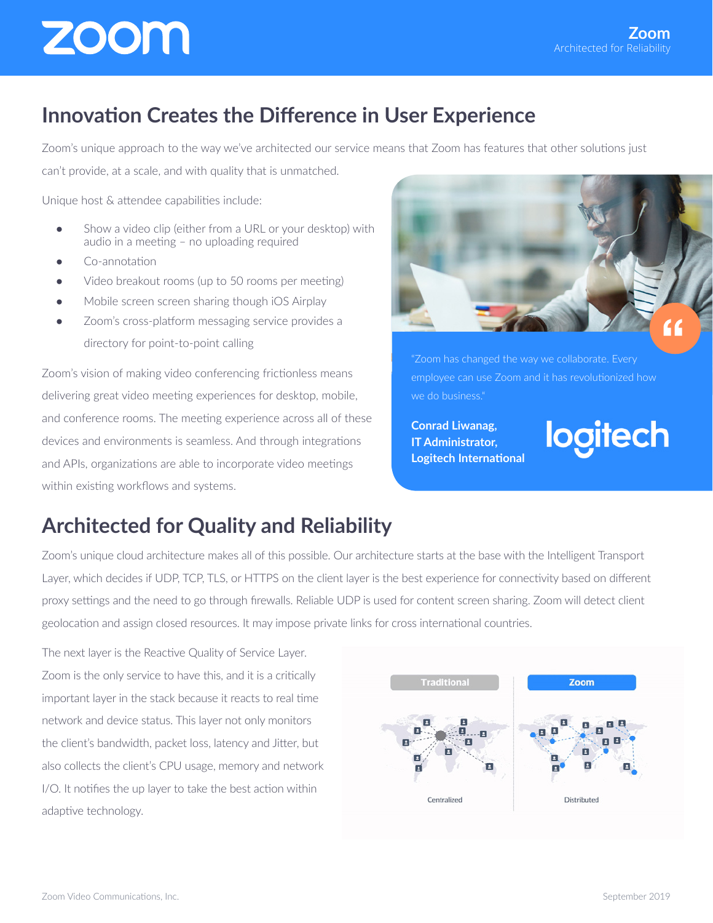#### **Innovation Creates the Difference in User Experience**

Zoom's unique approach to the way we've architected our service means that Zoom has features that other solutions just

can't provide, at a scale, and with quality that is unmatched.

Unique host & attendee capabilities include:

- Show a video clip (either from a URL or your desktop) with audio in a meeting – no uploading required
- Co-annotation
- Video breakout rooms (up to 50 rooms per meeting)
- Mobile screen screen sharing though iOS Airplay
- Zoom's cross-platform messaging service provides a directory for point-to-point calling

Zoom's vision of making video conferencing frictionless means delivering great video meeting experiences for desktop, mobile, and conference rooms. The meeting experience across all of these devices and environments is seamless. And through integrations and APIs, organizations are able to incorporate video meetings within existing workflows and systems.



"Zoom has changed the way we collaborate. Every employee can use Zoom and it has revolutionized how we do business."

**Conrad Liwanag, IT Administrator, Logitech International** logitech

#### **Architected for Quality and Reliability**

Zoom's unique cloud architecture makes all of this possible. Our architecture starts at the base with the Intelligent Transport Layer, which decides if UDP, TCP, TLS, or HTTPS on the client layer is the best experience for connectivity based on different proxy settings and the need to go through firewalls. Reliable UDP is used for content screen sharing. Zoom will detect client geolocation and assign closed resources. It may impose private links for cross international countries.

The next layer is the Reactive Quality of Service Layer. Zoom is the only service to have this, and it is a critically important layer in the stack because it reacts to real time network and device status. This layer not only monitors the client's bandwidth, packet loss, latency and Jitter, but also collects the client's CPU usage, memory and network I/O. It notifies the up layer to take the best action within adaptive technology.

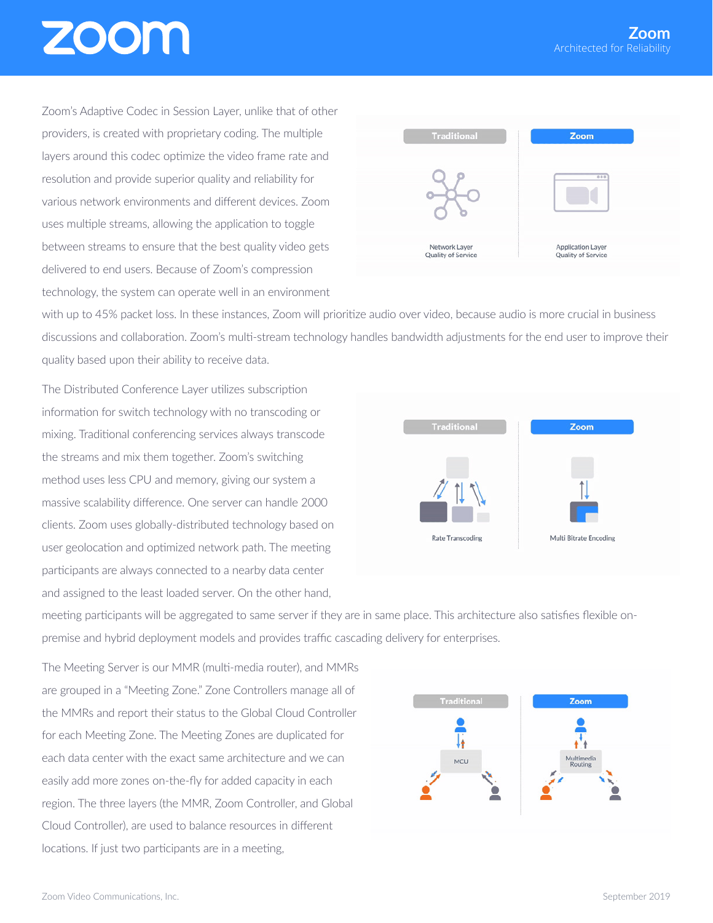Zoom's Adaptive Codec in Session Layer, unlike that of other providers, is created with proprietary coding. The multiple layers around this codec optimize the video frame rate and resolution and provide superior quality and reliability for various network environments and different devices. Zoom uses multiple streams, allowing the application to toggle between streams to ensure that the best quality video gets delivered to end users. Because of Zoom's compression technology, the system can operate well in an environment



with up to 45% packet loss. In these instances, Zoom will prioritize audio over video, because audio is more crucial in business discussions and collaboration. Zoom's multi-stream technology handles bandwidth adjustments for the end user to improve their quality based upon their ability to receive data.

The Distributed Conference Layer utilizes subscription information for switch technology with no transcoding or mixing. Traditional conferencing services always transcode the streams and mix them together. Zoom's switching method uses less CPU and memory, giving our system a massive scalability difference. One server can handle 2000 clients. Zoom uses globally-distributed technology based on user geolocation and optimized network path. The meeting participants are always connected to a nearby data center and assigned to the least loaded server. On the other hand,



meeting participants will be aggregated to same server if they are in same place. This architecture also satisfies flexible onpremise and hybrid deployment models and provides traffic cascading delivery for enterprises.

The Meeting Server is our MMR (multi-media router), and MMRs are grouped in a "Meeting Zone." Zone Controllers manage all of the MMRs and report their status to the Global Cloud Controller for each Meeting Zone. The Meeting Zones are duplicated for each data center with the exact same architecture and we can easily add more zones on-the-fly for added capacity in each region. The three layers (the MMR, Zoom Controller, and Global Cloud Controller), are used to balance resources in different locations. If just two participants are in a meeting,

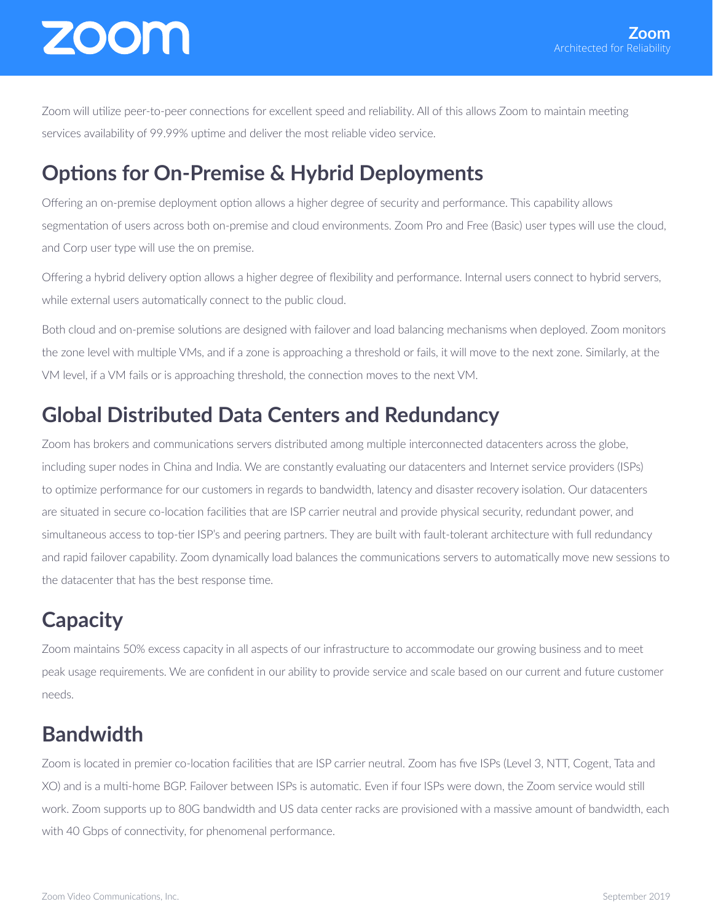Zoom will utilize peer-to-peer connections for excellent speed and reliability. All of this allows Zoom to maintain meeting services availability of 99.99% uptime and deliver the most reliable video service.

#### **Options for On-Premise & Hybrid Deployments**

Offering an on-premise deployment option allows a higher degree of security and performance. This capability allows segmentation of users across both on-premise and cloud environments. Zoom Pro and Free (Basic) user types will use the cloud, and Corp user type will use the on premise.

Offering a hybrid delivery option allows a higher degree of flexibility and performance. Internal users connect to hybrid servers, while external users automatically connect to the public cloud.

Both cloud and on-premise solutions are designed with failover and load balancing mechanisms when deployed. Zoom monitors the zone level with multiple VMs, and if a zone is approaching a threshold or fails, it will move to the next zone. Similarly, at the VM level, if a VM fails or is approaching threshold, the connection moves to the next VM.

#### **Global Distributed Data Centers and Redundancy**

Zoom has brokers and communications servers distributed among multiple interconnected datacenters across the globe, including super nodes in China and India. We are constantly evaluating our datacenters and Internet service providers (ISPs) to optimize performance for our customers in regards to bandwidth, latency and disaster recovery isolation. Our datacenters are situated in secure co-location facilities that are ISP carrier neutral and provide physical security, redundant power, and simultaneous access to top-tier ISP's and peering partners. They are built with fault-tolerant architecture with full redundancy and rapid failover capability. Zoom dynamically load balances the communications servers to automatically move new sessions to the datacenter that has the best response time.

#### **Capacity**

Zoom maintains 50% excess capacity in all aspects of our infrastructure to accommodate our growing business and to meet peak usage requirements. We are confident in our ability to provide service and scale based on our current and future customer needs.

#### **Bandwidth**

Zoom is located in premier co-location facilities that are ISP carrier neutral. Zoom has five ISPs (Level 3, NTT, Cogent, Tata and XO) and is a multi-home BGP. Failover between ISPs is automatic. Even if four ISPs were down, the Zoom service would still work. Zoom supports up to 80G bandwidth and US data center racks are provisioned with a massive amount of bandwidth, each with 40 Gbps of connectivity, for phenomenal performance.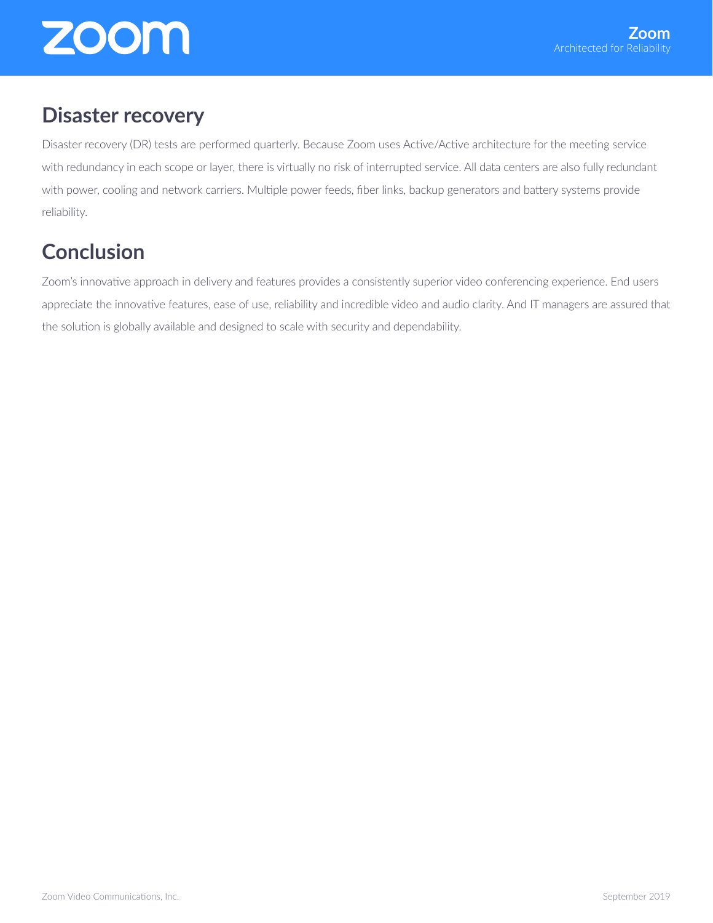#### **Disaster recovery**

Disaster recovery (DR) tests are performed quarterly. Because Zoom uses Active/Active architecture for the meeting service with redundancy in each scope or layer, there is virtually no risk of interrupted service. All data centers are also fully redundant with power, cooling and network carriers. Multiple power feeds, fiber links, backup generators and battery systems provide reliability.

#### **Conclusion**

Zoom's innovative approach in delivery and features provides a consistently superior video conferencing experience. End users appreciate the innovative features, ease of use, reliability and incredible video and audio clarity. And IT managers are assured that the solution is globally available and designed to scale with security and dependability.